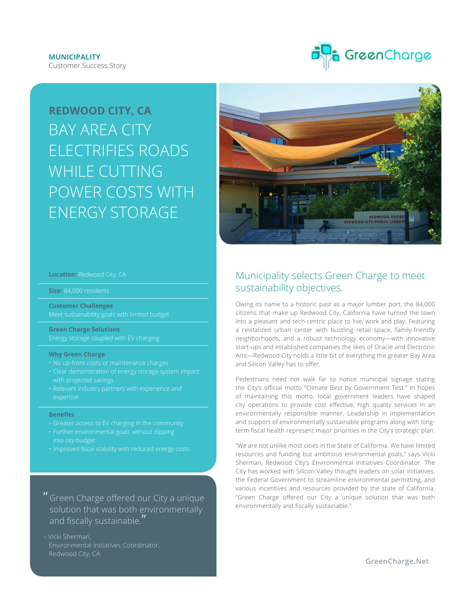

# **REDWOOD CITY, CA** BAY AREA CITY ELECTRIFIES ROADS WHILE CUTTING POWER COSTS WITH ENERGY STORAGE



# **Location:** Redwood City, CA

**Size:** 84,000 residents

**Customer Challenges**

**Green Charge Solutions**

#### **Why Green Charge**

- 
- 
- expertise

#### **Benefits**

- 
- 
- 

" Green Charge ofered our City a unique solution that was both environmentally and fiscally sustainable."

– Vicki Sherman, Environmental Initiatives Coordinator,

# Municipality selects Green Charge to meet sustainability objectives.

Owing its name to a historic past as a major lumber port, the 84,000 citizens that make up Redwood City, California have turned the town into a pleasant and tech-centric place to live, work and play. Featuring a revitalized urban center with bustling retail space, family-friendly neighborhoods, and a robust technology economy—with innovative start-ups and established companies the likes of Oracle and Electronic Arts—Redwood City holds a little bit of everything the greater Bay Area and Silicon Valley has to offer.

Pedestrians need not walk far to notice municipal signage stating the City's official motto "Climate Best by Government Test." In hopes of maintaining this motto, local government leaders have shaped city operations to provide cost efective, high quality services in an environmentally responsible manner. Leadership in implementation and support of environmentally sustainable programs along with longterm fiscal health represent major priorities in the City's strategic plan.

"We are not unlike most cities in the State of California. We have limited resources and funding but ambitious environmental goals," says Vicki Sherman, Redwood City's Environmental Initiatives Coordinator. The City has worked with Silicon Valley thought leaders on solar initiatives, the Federal Government to streamline environmental permitting, and various incentives and resources provided by the state of California. "Green Charge offered our City a unique solution that was both environmentally and fiscally sustainable."

G[reenCharge.Net](http://www.greencharge.net)